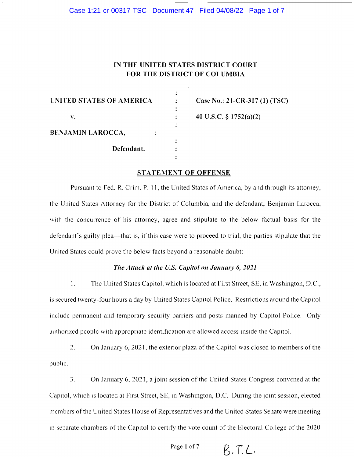# IN THE UNITED STATES DISTRICT COURT FOR THE DISTRICT OF COLUMBIA

| UNITED STATES OF AMERICA | Case No.: 21-CR-317 (1) (TSC) |
|--------------------------|-------------------------------|
| v.                       | 40 U.S.C. § 1752(a)(2)        |
| <b>BENJAMIN LAROCCA,</b> |                               |
| Defendant.               |                               |
|                          |                               |

#### STATEMENT OF OFFENSE

Pursuant to Fed. R. Crim. P. 11, the United States of America, by and through its attorney, thc United States Attorney for the District of Columbia, and the defendant. Benjamin Larocca, with the concurrence of his attorney, agree and stipulate to the below factual basis for the defendant's guilty plea—that is, if this case were to proceed to trial, the parties stipulate that the United States could prove the below facts beyond a reasonable doubt:

## The Attack at the U.S. Capitol on January 6, 2021

l. The United States Capitol, which is located at First Street, SE, in Washington, D.C., is sccured twenty-four hours a day by United States Capitol Police. Restrictions around the Capitol include permanent and temporary security barriers and posts manned by Capitol Police. Only authorizcd pcople with appropriatc identification are allowed acccss inside thc Capitol.

2. On January 6, 2021, the exterior plaza of the Capitol was closed to members of the public.

3. On January 6,2021, a joint session of the United Statcs Congress convened at the Capitol, which is located at First Street, SE, in Washington, D.C. During the joint session, elected members of the United States House of Representatives and the United States Senate were meeting in separate chambers of the Capitol to certify the vote count of the Electoral College of the 2020

Page 1 of 7  $\beta, \gamma, \gamma$ .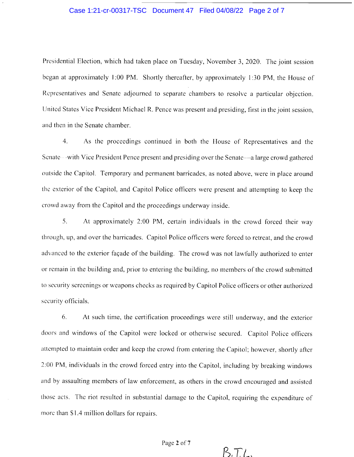# Case 1:21-cr-00317-TSC Document 47 Filed 04/08/22 Page 2 of 7

Presidential Election, which had taken place on Tuesday, November 3, 2020. The joint session began at approximately 1:00 PM. Shortly thereafter, by approximately 1:30 PM, the House of Representatives and Senate adjourned to separate chambers to resolve a particular objection. United States Vice President Michael R. Pence was present and presiding, first in the joint session, and then in the Senate chamber.

4. As the proceedings continued in both the llouse of Rcpresentatives and the Senate—-with Vice President Pence present and presiding over the Senate—a large crowd gathered outside the Capitol. Temporary and permanent barricades, as noted above, were in place around thc cxterior of the Capitol, and Capitol Police officers were present and attempting to keep the crowd away from the Capitol and the proceedings underway inside.

5. At approximately 2:00 PM, certain individuals in the crowd forced their way through, up, and over the barricades. Capitol Police officers were forced to retreat, and the crowd advanced to the exterior façade of the building. The crowd was not lawfully authorized to enter or remain in the building and, prior to entering the building, no members of the crowd submitted to security screenings or weapons checks as required by Capitol Police officers or other authorized security officials.

6. At such time, the certification proceedings were still underway, and the exterior doors and windows of the Capitol were locked or otherwisc securcd. Capitol Police officcrs attempted to maintain order and keep the crowd from entering the Capitol; however, shortly after 2:00 PM, individuals in the crowd forced entry into the Capitol, including by breaking windows and by assaulting members of law enforcement, as others in the crowd encouraged and assistcd those acts. The riot resulted in substantial damage to the Capitol, requiring the expenditure of more than \$1.4 million dollars for repairs.

Page 2 of 7

b,TL.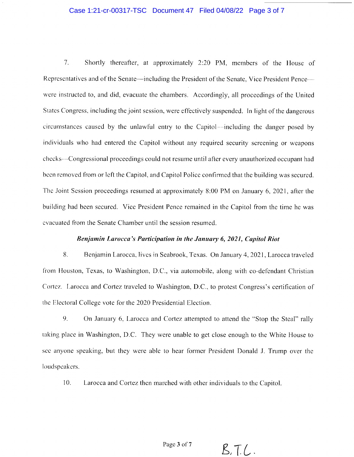#### Case 1:21-cr-00317-TSC Document 47 Filed 04/08/22 Page 3 of 7

7. Shortly thereafter, at approximately 2:20 PM, members of the House of Representatives and of the Senate—including the President of the Senate, Vice President Pence were instructed to, and did, evacuate the chambers. Accordingly, all proceedings of the United States Congress, including the joint session, were effectively suspended. In light of the dangerous circumstances caused by the unlawful entry to the Capitol—including the danger posed by individuals who had entered the Capitol without any required security screening or weapons checks---Congressional proceedings could not resume until after every unauthorized occupant had been removed from or left the Capitol, and Capitol Police confirmed that the building was secured. The Joint Session proceedings resumed at approximately 8:00 PM on January 6, 2021, after the building had been secured. Vice President Pence remained in the Capitol from the time he was evacuated from the Senate Chamber until the session resumed.

## Benjamin Larocca's Participation in the January 6, 2021, Capitol Riot

8. Benjamin Larocca, lives in Seabrook, Texas. On January 4, 2021, Larocca traveled from Houston, Texas, to Washington, D.C., via automobile, along with co-defendant Christian Cortez. Larocca and Cortez traveled to Washington, D.C., to protest Congress's certification of the Electoral College vote for the 2020 Presidential Election.

9. On January 6, Larocca and Cortez attempted to attend the "Stop the Steal" rally taking place in Washington, D.C. They were unable to get close enough to the White House to see anyone speaking, but they were able to hear former President Donald J. Trump over the loudspeakers.

10. l.arocca and Cortez then marched with other individuals to the Capitol.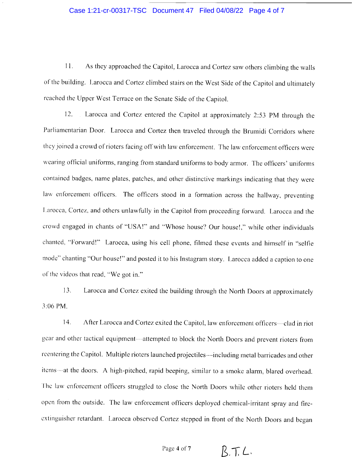# Case 1:21-cr-00317-TSC Document 47 Filed 04/08/22 Page 4 of 7

<sup>I</sup>l. As they approached the Capitol, Larocca and Cortez saw others climbing the walls of the building. Larocca and Cortez climbed stairs on the West Side of the Capitol and ultimately reached the Upper West Terrace on the Senate Side of the Capitol.

12. Larocca and Cortez entered the Capitol at approximately 2:53 PM through the Parliamentarian Door. Larocca and Cortez then traveled through the Brumidi Corridors where they joined a crowd of rioters facing off with law enforcement. The law enforcement officers were wearing official uniforms, ranging from standard uniforms to body armor. The officers' uniforms contained badges, name plates, patches, and other distinctive markings indicating that they were law enforcement officers. The officers stood in a formation across the hallway, preventing Larocca, Cortez, and others unlawfully in the Capitol from proceeding forward. Larocca and the crowd engaged in chants of "USA!" and "Whose house? Our house!," while other individuals chanted, "Forward!" Larocca, using his cell phone, filmed these events and himself in "selfie mode" chanting "Our house!" and posted it to his Instagram story. Larocca added a caption to one of the videos that read, "We got in."

13. Larocca and Cortez exited the building through the North Doors at approximately 3:06 PM.

14. After Larocca and Cortez exited the Capitol, law enforcement officers—clad in riot gear and other tactical equipment—attempted to block the North Doors and prevent rioters from reentering the Capitol. Multiple rioters launched projectiles--including metal barricades and other items-at the doors. A high-pitched, rapid beeping, similar to a smoke alarm, blared overhead. The law enforcement officers struggled to close the North Doors while other rioters held them open from the outside. The law enforcement officers deployed chemical-irritant spray and fireextinguisher retardant. Larocca observed Cortez stepped in front of the North Doors and began

Page 4 of 7  $\beta$ ,  $\top$ ,  $\angle$ .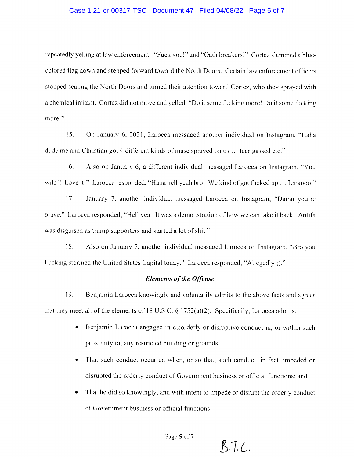### Case 1:21-cr-00317-TSC Document 47 Filed 04/08/22 Page 5 of 7

rcpcatedly yelling at law enforcement: "Fuck you!" and "Oath breakers!" Cortez slammed a bluecolored flag down and stepped forward toward the North Doors. Certain law enforcement officers stopped sealing the North Doors and turned their attention toward Cortez, who they sprayed with a chemical irritant. Cortez did not move and yelled, "Do it some fucking more! Do it some fucking more!"

15. On January 6, 2021, Larocca messaged another individual on Instagram, "Haha dude me and Christian got 4 different kinds of mase sprayed on us ... tear gassed etc."

16. Also on January 6, a different individual messaged Larocca on hrstagram, "You wild!! Love it!" Larocca responded, "Haha hell yeah bro! We kind of got fucked up ... Lmaooo."

17. January 7, another individual messaged Larocca on Instagram, "Damn you're brave." Larocca responded, "Hell yea. It was a demonstration of how we can take it back. Antifa was disguised as trump supporters and started a lot of shit."

18. Also on January 7, another individual messagcd f.arocca on Instagram, "Bro you Fucking stormed the United States Capital today." Larocca responded, "Allegedly ;)."

#### Elements of the Offense

19. that they meet all of the elements of 18 U.S.C. \$ 1752(a)(2). Specifically, Larocca admits: Bcnjamin Larocca knowingly and voluntarily admits to the above lacts and agrees

- Benjamin Larocca engaged in disorderly or disruptive conduct in, or within such proximity to, any restricted building or grounds;
- That such conduct occurred when, or so that, such conduct, in fact, impeded or disrupted the orderly conduct of Governrnent business or official functions, and
- That he did so knowingly, and with intent to impede or disrupt the orderly conduct of Government business or official functions.

 $B.T.C.$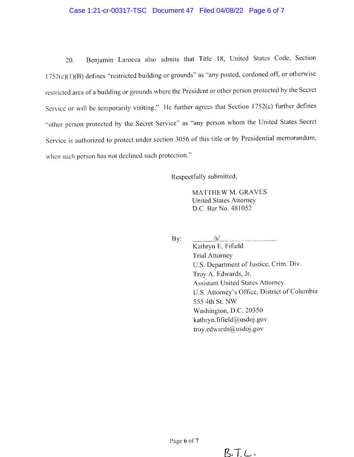## Case 1:21-cr-00317-TSC Document 47 Filed 04/08/22 Page 6 of 7

20. Benjamin Larocca also admits that Title 18, United States Code, Section  $1752(c)(1)(B)$  defines "restricted building or grounds" as "any posted, cordoned off, or otherwise restricted area of a building or grounds where the President or other person protected by the Secret Service or will be temporarily visiting." He further agrees that Section 1752(c) further defines "other person protected by the Secret Service" as "any person whom the United States Secret Service is authorized to protect under section 3056 of this title or by Presidential memorandum, when such person has not declined such protection."

Respectfully submitted,

MATTHEW M. GRAVES United States AttorneY D.C. Bar No. 481052

By:  $\frac{|s|}{|s|}$ 

Kathryn E. Fifield Trial Attorney U.S. Department of Justice, Crim. Div. 'froy A. Edwards, Jr. Assistant LJnited States Attorncy U.S. Attorney's Office, District of Columbia 555 4th St. NW Washington, D.C. 20350 kathryn. fifield@usdoj.gov troy.edwards@usdoj.gov

 $B.T.C.$